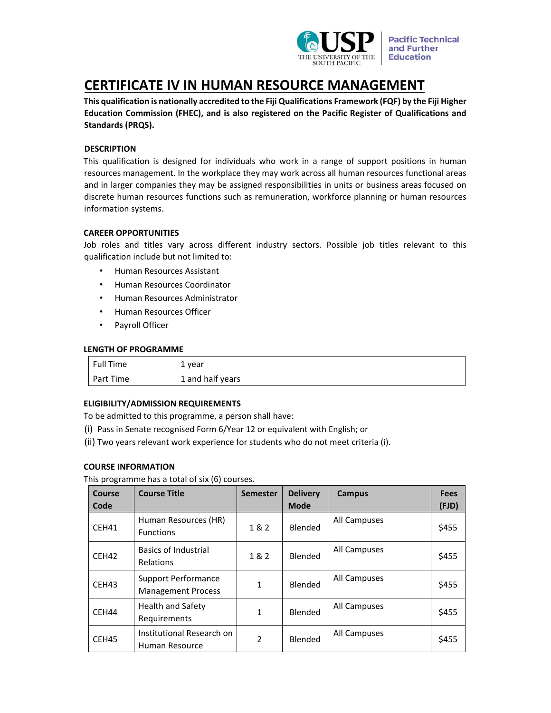

# **CERTIFICATE IV IN HUMAN RESOURCE MANAGEMENT**

**This qualification is nationally accredited to the Fiji Qualifications Framework (FQF) by the Fiji Higher Education Commission (FHEC), and is also registered on the Pacific Register of Qualifications and Standards (PRQS).**

# **DESCRIPTION**

This qualification is designed for individuals who work in a range of support positions in human resources management. In the workplace they may work across all human resources functional areas and in larger companies they may be assigned responsibilities in units or business areas focused on discrete human resources functions such as remuneration, workforce planning or human resources information systems.

## **CAREER OPPORTUNITIES**

Job roles and titles vary across different industry sectors. Possible job titles relevant to this qualification include but not limited to:

- Human Resources Assistant
- Human Resources Coordinator
- Human Resources Administrator
- Human Resources Officer
- Payroll Officer

#### **LENGTH OF PROGRAMME**

| Full Time | 1 year           |
|-----------|------------------|
| Part Time | 1 and half years |

## **ELIGIBILITY/ADMISSION REQUIREMENTS**

To be admitted to this programme, a person shall have:

- (i) Pass in Senate recognised Form 6/Year 12 or equivalent with English; or
- (ii) Two years relevant work experience for students who do not meet criteria (i).

## **COURSE INFORMATION**

This programme has a total of six (6) courses.

| Course | <b>Course Title</b>                                     | <b>Semester</b> | <b>Delivery</b> | Campus       | <b>Fees</b> |
|--------|---------------------------------------------------------|-----------------|-----------------|--------------|-------------|
| Code   |                                                         |                 | <b>Mode</b>     |              | (FJD)       |
| CEH41  | Human Resources (HR)<br><b>Functions</b>                | 1 & 2           | Blended         | All Campuses | \$455       |
| CEH42  | <b>Basics of Industrial</b><br>Relations                | 1&2             | Blended         | All Campuses | \$455       |
| CEH43  | <b>Support Performance</b><br><b>Management Process</b> | 1               | <b>Blended</b>  | All Campuses | \$455       |
| CEH44  | Health and Safety<br>Requirements                       | $\mathbf{1}$    | Blended         | All Campuses | \$455       |
| CEH45  | Institutional Research on<br>Human Resource             | $\overline{2}$  | Blended         | All Campuses | \$455       |